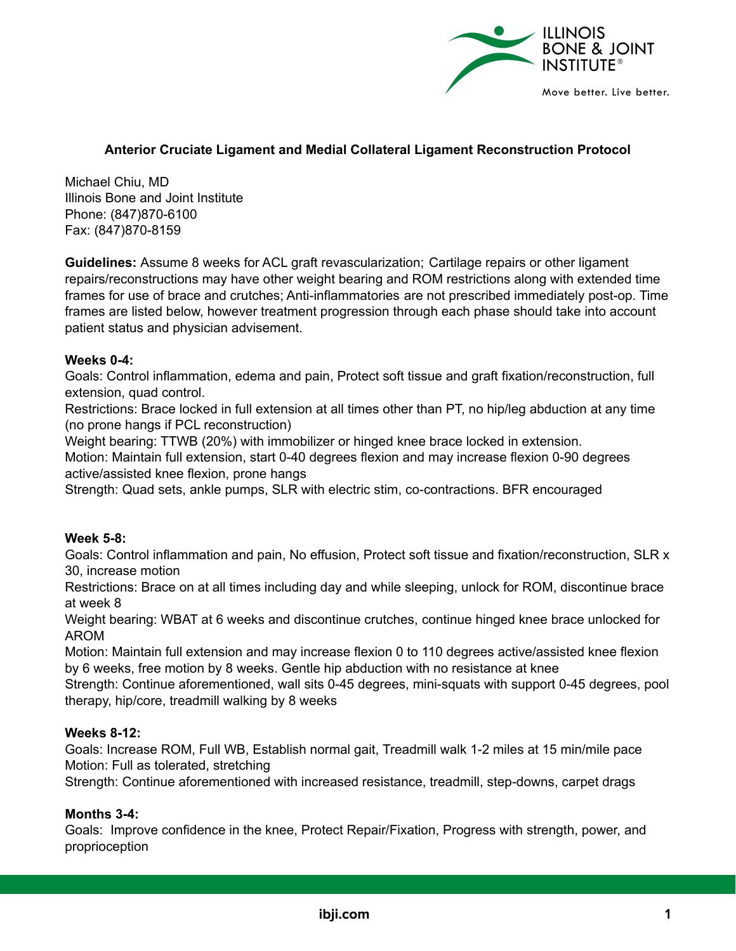

# **Anterior Cruciate Ligament and Medial Collateral Ligament Reconstruction Protocol**

Michael Chiu, MD Illinois Bone and Joint Institute Phone: (847)870-6100 Fax: (847)870-8159

**Guidelines:** Assume 8 weeks for ACL graft revascularization; Cartilage repairs or other ligament repairs/reconstructions may have other weight bearing and ROM restrictions along with extended time frames for use of brace and crutches; Anti-inflammatories are not prescribed immediately post-op. Time frames are listed below, however treatment progression through each phase should take into account patient status and physician advisement.

### **Weeks 0-4:**

Goals: Control inflammation, edema and pain, Protect soft tissue and graft fixation/reconstruction, full extension, quad control.

Restrictions: Brace locked in full extension at all times other than PT, no hip/leg abduction at any time (no prone hangs if PCL reconstruction)

Weight bearing: TTWB (20%) with immobilizer or hinged knee brace locked in extension.

Motion: Maintain full extension, start 0-40 degrees flexion and may increase flexion 0-90 degrees active/assisted knee flexion, prone hangs

Strength: Quad sets, ankle pumps, SLR with electric stim, co-contractions. BFR encouraged

#### **Week 5-8:**

Goals: Control inflammation and pain, No effusion, Protect soft tissue and fixation/reconstruction, SLR x 30, increase motion

Restrictions: Brace on at all times including day and while sleeping, unlock for ROM, discontinue brace at week 8

Weight bearing: WBAT at 6 weeks and discontinue crutches, continue hinged knee brace unlocked for AROM

Motion: Maintain full extension and may increase flexion 0 to 110 degrees active/assisted knee flexion by 6 weeks, free motion by 8 weeks. Gentle hip abduction with no resistance at knee

Strength: Continue aforementioned, wall sits 0-45 degrees, mini-squats with support 0-45 degrees, pool therapy, hip/core, treadmill walking by 8 weeks

## **Weeks 8-12:**

Goals: Increase ROM, Full WB, Establish normal gait, Treadmill walk 1-2 miles at 15 min/mile pace Motion: Full as tolerated, stretching

Strength: Continue aforementioned with increased resistance, treadmill, step-downs, carpet drags

#### **Months 3-4:**

Goals: Improve confidence in the knee, Protect Repair/Fixation, Progress with strength, power, and proprioception